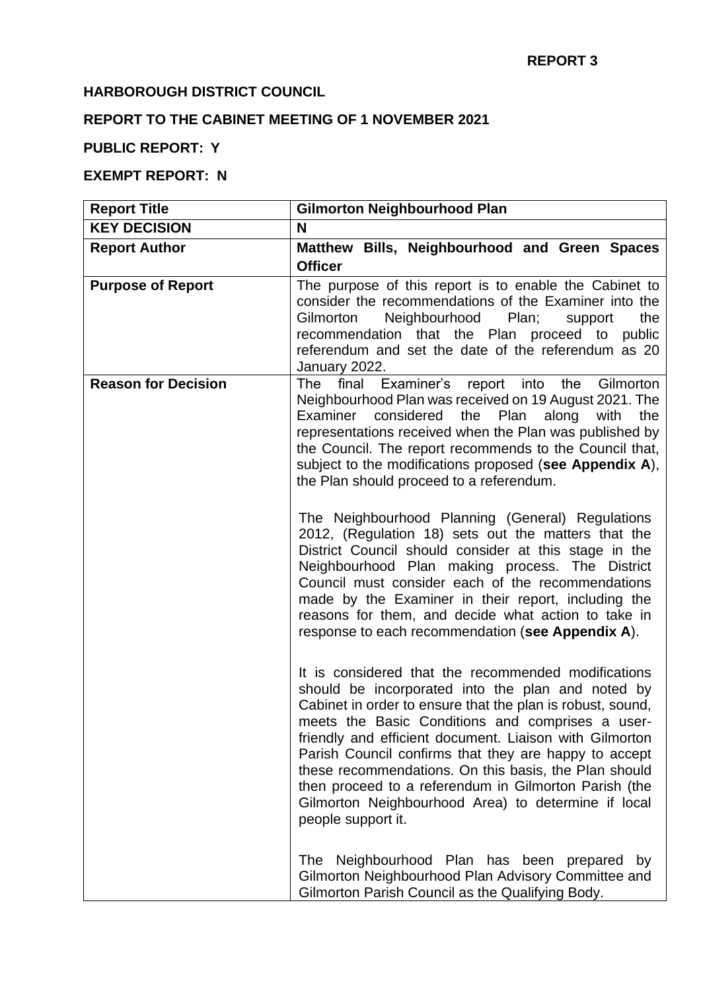### **HARBOROUGH DISTRICT COUNCIL**

# **REPORT TO THE CABINET MEETING OF 1 NOVEMBER 2021**

## **PUBLIC REPORT: Y**

### **EXEMPT REPORT: N**

| <b>Report Title</b>        | <b>Gilmorton Neighbourhood Plan</b>                                                                                                                                                                                                                                                                                                                                                                                                                                                                                                           |
|----------------------------|-----------------------------------------------------------------------------------------------------------------------------------------------------------------------------------------------------------------------------------------------------------------------------------------------------------------------------------------------------------------------------------------------------------------------------------------------------------------------------------------------------------------------------------------------|
| <b>KEY DECISION</b>        | N                                                                                                                                                                                                                                                                                                                                                                                                                                                                                                                                             |
| <b>Report Author</b>       | Matthew Bills, Neighbourhood and Green Spaces<br><b>Officer</b>                                                                                                                                                                                                                                                                                                                                                                                                                                                                               |
| <b>Purpose of Report</b>   | The purpose of this report is to enable the Cabinet to<br>consider the recommendations of the Examiner into the<br>Neighbourhood<br>the<br>Gilmorton<br>Plan;<br>support<br>recommendation that the Plan proceed to<br>public<br>referendum and set the date of the referendum as 20<br>January 2022.                                                                                                                                                                                                                                         |
| <b>Reason for Decision</b> | final Examiner's report into<br>the<br>Gilmorton<br>The l<br>Neighbourhood Plan was received on 19 August 2021. The<br>Examiner considered the Plan<br>along<br>with<br>the<br>representations received when the Plan was published by<br>the Council. The report recommends to the Council that,<br>subject to the modifications proposed (see Appendix A),<br>the Plan should proceed to a referendum.                                                                                                                                      |
|                            | The Neighbourhood Planning (General) Regulations<br>2012, (Regulation 18) sets out the matters that the<br>District Council should consider at this stage in the<br>Neighbourhood Plan making process. The District<br>Council must consider each of the recommendations<br>made by the Examiner in their report, including the<br>reasons for them, and decide what action to take in<br>response to each recommendation (see Appendix A).                                                                                                   |
|                            | It is considered that the recommended modifications<br>should be incorporated into the plan and noted by<br>Cabinet in order to ensure that the plan is robust, sound,<br>meets the Basic Conditions and comprises a user-<br>friendly and efficient document. Liaison with Gilmorton<br>Parish Council confirms that they are happy to accept<br>these recommendations. On this basis, the Plan should<br>then proceed to a referendum in Gilmorton Parish (the<br>Gilmorton Neighbourhood Area) to determine if local<br>people support it. |
|                            | Neighbourhood Plan has been prepared<br><b>The</b><br>by<br>Gilmorton Neighbourhood Plan Advisory Committee and<br>Gilmorton Parish Council as the Qualifying Body.                                                                                                                                                                                                                                                                                                                                                                           |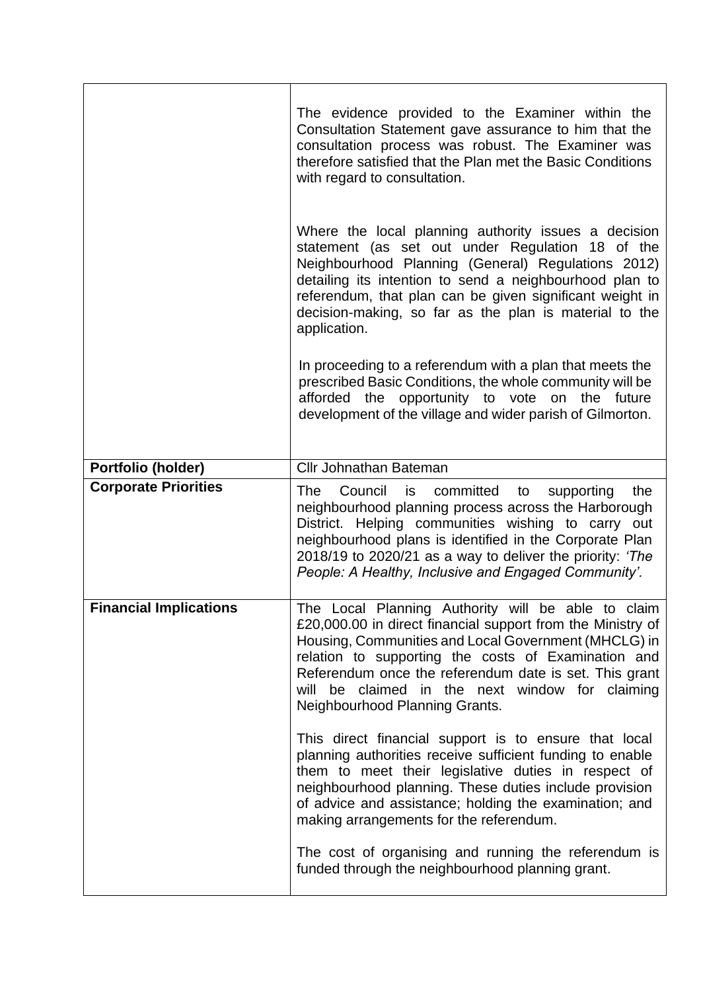|                               | The evidence provided to the Examiner within the<br>Consultation Statement gave assurance to him that the<br>consultation process was robust. The Examiner was<br>therefore satisfied that the Plan met the Basic Conditions<br>with regard to consultation.                                                                                                    |
|-------------------------------|-----------------------------------------------------------------------------------------------------------------------------------------------------------------------------------------------------------------------------------------------------------------------------------------------------------------------------------------------------------------|
|                               | Where the local planning authority issues a decision<br>statement (as set out under Regulation 18 of the<br>Neighbourhood Planning (General) Regulations 2012)<br>detailing its intention to send a neighbourhood plan to<br>referendum, that plan can be given significant weight in<br>decision-making, so far as the plan is material to the<br>application. |
|                               | In proceeding to a referendum with a plan that meets the<br>prescribed Basic Conditions, the whole community will be<br>afforded the opportunity to vote on the future<br>development of the village and wider parish of Gilmorton.                                                                                                                             |
| Portfolio (holder)            | <b>Cllr Johnathan Bateman</b>                                                                                                                                                                                                                                                                                                                                   |
| <b>Corporate Priorities</b>   | Council is committed<br>supporting<br>the<br>The<br>to<br>neighbourhood planning process across the Harborough<br>District. Helping communities wishing to carry out<br>neighbourhood plans is identified in the Corporate Plan<br>2018/19 to 2020/21 as a way to deliver the priority: 'The<br>People: A Healthy, Inclusive and Engaged Community'.            |
| <b>Financial Implications</b> | The Local Planning Authority will be able to claim<br>£20,000.00 in direct financial support from the Ministry of                                                                                                                                                                                                                                               |
|                               | Housing, Communities and Local Government (MHCLG) in<br>relation to supporting the costs of Examination and<br>Referendum once the referendum date is set. This grant<br>will be claimed in the next window for claiming<br>Neighbourhood Planning Grants.                                                                                                      |
|                               | This direct financial support is to ensure that local<br>planning authorities receive sufficient funding to enable<br>them to meet their legislative duties in respect of<br>neighbourhood planning. These duties include provision<br>of advice and assistance; holding the examination; and<br>making arrangements for the referendum.                        |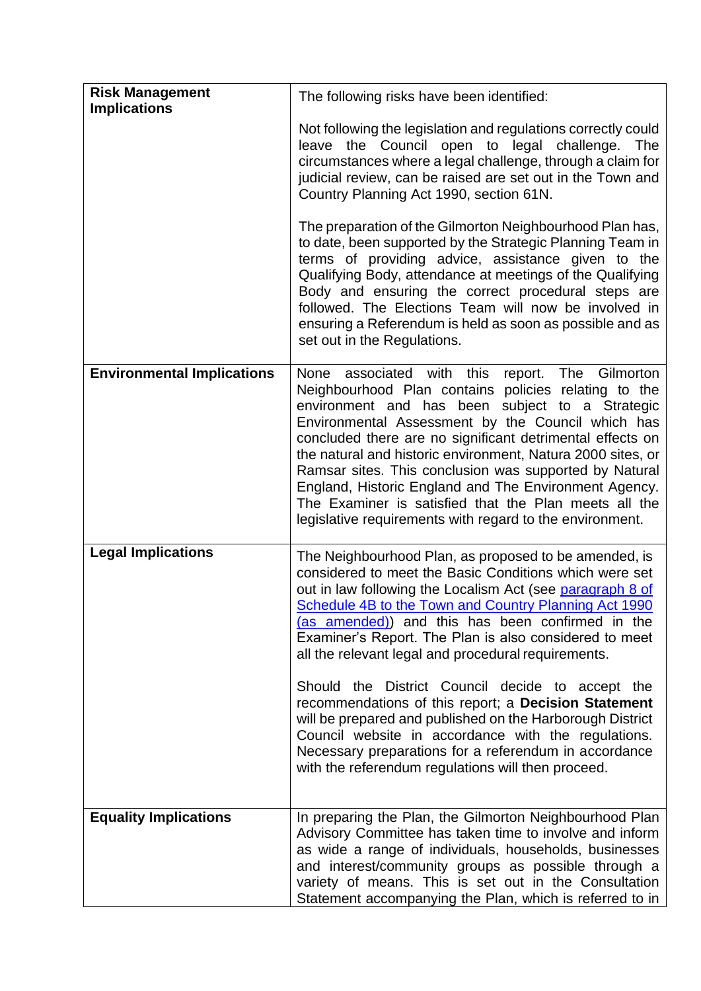| <b>Risk Management</b><br><b>Implications</b> | The following risks have been identified:                                                                                                                                                                                                                                                                                                                                                                                                                                                                                                                                                                                                                                                                                                                 |
|-----------------------------------------------|-----------------------------------------------------------------------------------------------------------------------------------------------------------------------------------------------------------------------------------------------------------------------------------------------------------------------------------------------------------------------------------------------------------------------------------------------------------------------------------------------------------------------------------------------------------------------------------------------------------------------------------------------------------------------------------------------------------------------------------------------------------|
|                                               | Not following the legislation and regulations correctly could<br>leave the Council open to legal challenge.<br>The<br>circumstances where a legal challenge, through a claim for<br>judicial review, can be raised are set out in the Town and<br>Country Planning Act 1990, section 61N.                                                                                                                                                                                                                                                                                                                                                                                                                                                                 |
|                                               | The preparation of the Gilmorton Neighbourhood Plan has,<br>to date, been supported by the Strategic Planning Team in<br>terms of providing advice, assistance given to the<br>Qualifying Body, attendance at meetings of the Qualifying<br>Body and ensuring the correct procedural steps are<br>followed. The Elections Team will now be involved in<br>ensuring a Referendum is held as soon as possible and as<br>set out in the Regulations.                                                                                                                                                                                                                                                                                                         |
| <b>Environmental Implications</b>             | None associated with this<br>report. The Gilmorton<br>Neighbourhood Plan contains policies relating to the<br>environment and has been subject to a Strategic<br>Environmental Assessment by the Council which has<br>concluded there are no significant detrimental effects on<br>the natural and historic environment, Natura 2000 sites, or<br>Ramsar sites. This conclusion was supported by Natural<br>England, Historic England and The Environment Agency.<br>The Examiner is satisfied that the Plan meets all the<br>legislative requirements with regard to the environment.                                                                                                                                                                    |
| <b>Legal Implications</b>                     | The Neighbourhood Plan, as proposed to be amended, is<br>considered to meet the Basic Conditions which were set<br>out in law following the Localism Act (see paragraph 8 of<br>Schedule 4B to the Town and Country Planning Act 1990<br>(as amended)) and this has been confirmed in the<br>Examiner's Report. The Plan is also considered to meet<br>all the relevant legal and procedural requirements.<br>Should the District Council decide to accept the<br>recommendations of this report; a Decision Statement<br>will be prepared and published on the Harborough District<br>Council website in accordance with the regulations.<br>Necessary preparations for a referendum in accordance<br>with the referendum regulations will then proceed. |
| <b>Equality Implications</b>                  | In preparing the Plan, the Gilmorton Neighbourhood Plan<br>Advisory Committee has taken time to involve and inform<br>as wide a range of individuals, households, businesses<br>and interest/community groups as possible through a<br>variety of means. This is set out in the Consultation<br>Statement accompanying the Plan, which is referred to in                                                                                                                                                                                                                                                                                                                                                                                                  |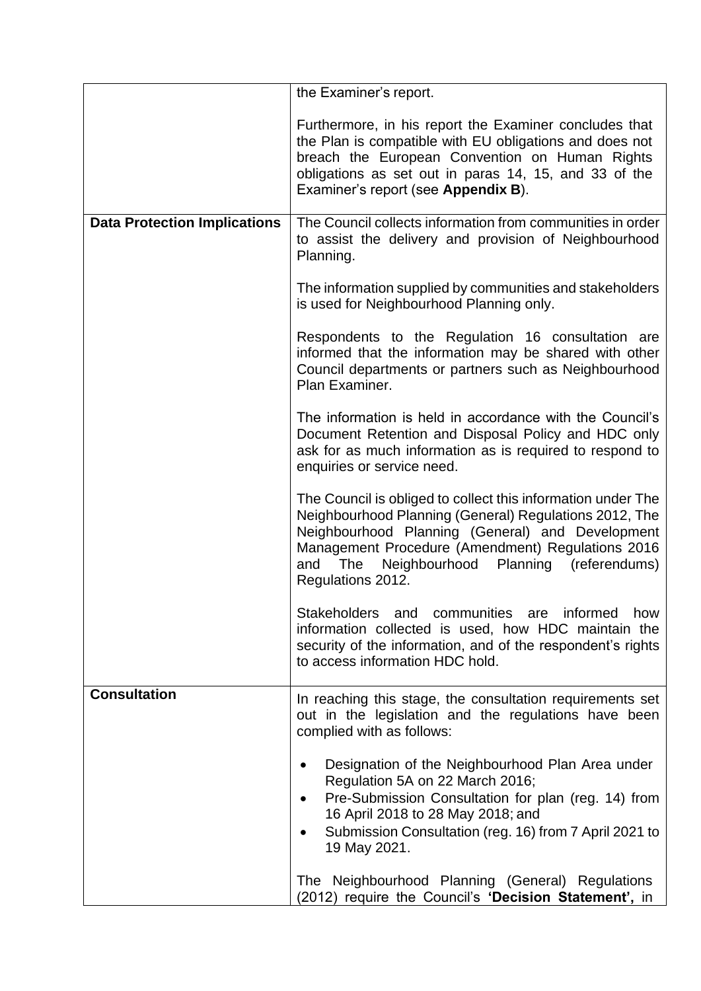|                                     | the Examiner's report.                                                                                                                                                                                                                                                                                        |
|-------------------------------------|---------------------------------------------------------------------------------------------------------------------------------------------------------------------------------------------------------------------------------------------------------------------------------------------------------------|
|                                     | Furthermore, in his report the Examiner concludes that<br>the Plan is compatible with EU obligations and does not<br>breach the European Convention on Human Rights<br>obligations as set out in paras 14, 15, and 33 of the<br>Examiner's report (see Appendix B).                                           |
| <b>Data Protection Implications</b> | The Council collects information from communities in order<br>to assist the delivery and provision of Neighbourhood<br>Planning.                                                                                                                                                                              |
|                                     | The information supplied by communities and stakeholders<br>is used for Neighbourhood Planning only.                                                                                                                                                                                                          |
|                                     | Respondents to the Regulation 16 consultation are<br>informed that the information may be shared with other<br>Council departments or partners such as Neighbourhood<br>Plan Examiner.                                                                                                                        |
|                                     | The information is held in accordance with the Council's<br>Document Retention and Disposal Policy and HDC only<br>ask for as much information as is required to respond to<br>enquiries or service need.                                                                                                     |
|                                     | The Council is obliged to collect this information under The<br>Neighbourhood Planning (General) Regulations 2012, The<br>Neighbourhood Planning (General) and Development<br>Management Procedure (Amendment) Regulations 2016<br>Neighbourhood<br>Planning (referendums)<br>and<br>The<br>Regulations 2012. |
|                                     | communities<br>informed<br><b>Stakeholders</b><br>and<br>are<br>how<br>information collected is used, how HDC maintain the<br>security of the information, and of the respondent's rights<br>to access information HDC hold.                                                                                  |
| <b>Consultation</b>                 | In reaching this stage, the consultation requirements set<br>out in the legislation and the regulations have been<br>complied with as follows:                                                                                                                                                                |
|                                     | Designation of the Neighbourhood Plan Area under<br>$\bullet$<br>Regulation 5A on 22 March 2016;<br>Pre-Submission Consultation for plan (reg. 14) from<br>$\bullet$<br>16 April 2018 to 28 May 2018; and<br>Submission Consultation (reg. 16) from 7 April 2021 to<br>19 May 2021.                           |
|                                     | The Neighbourhood Planning (General) Regulations<br>(2012) require the Council's 'Decision Statement', in                                                                                                                                                                                                     |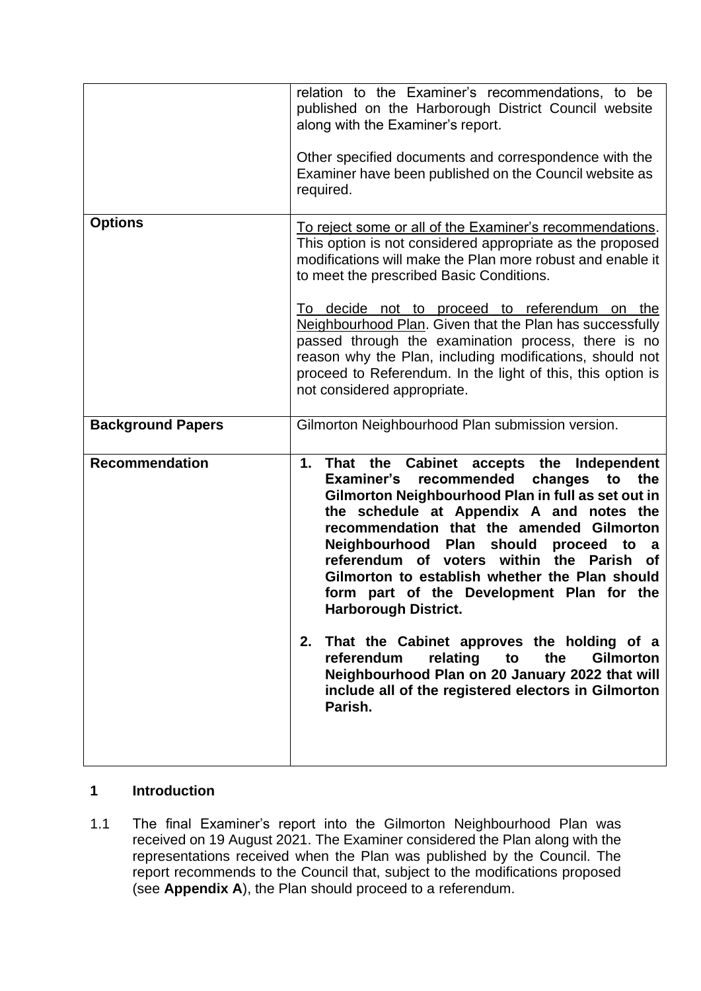|                          | relation to the Examiner's recommendations, to be<br>published on the Harborough District Council website<br>along with the Examiner's report.<br>Other specified documents and correspondence with the<br>Examiner have been published on the Council website as<br>required.                                                                                                                                                                                                                                                                                                                                                                                                                                         |
|--------------------------|------------------------------------------------------------------------------------------------------------------------------------------------------------------------------------------------------------------------------------------------------------------------------------------------------------------------------------------------------------------------------------------------------------------------------------------------------------------------------------------------------------------------------------------------------------------------------------------------------------------------------------------------------------------------------------------------------------------------|
| <b>Options</b>           | <u>To reject some or all of the Examiner's recommendations.</u><br>This option is not considered appropriate as the proposed<br>modifications will make the Plan more robust and enable it<br>to meet the prescribed Basic Conditions.<br>To decide not to proceed to referendum on the<br>Neighbourhood Plan. Given that the Plan has successfully<br>passed through the examination process, there is no<br>reason why the Plan, including modifications, should not<br>proceed to Referendum. In the light of this, this option is<br>not considered appropriate.                                                                                                                                                   |
| <b>Background Papers</b> | Gilmorton Neighbourhood Plan submission version.                                                                                                                                                                                                                                                                                                                                                                                                                                                                                                                                                                                                                                                                       |
| <b>Recommendation</b>    | That the Cabinet accepts the<br>1.<br>Independent<br>Examiner's recommended<br>changes<br>the<br>to<br>Gilmorton Neighbourhood Plan in full as set out in<br>the schedule at Appendix A and notes the<br>recommendation that the amended Gilmorton<br>Neighbourhood Plan should proceed to<br>a a<br>referendum of voters within<br>the Parish<br>οf<br>Gilmorton to establish whether the Plan should<br>form part of the Development Plan for the<br><b>Harborough District.</b><br>That the Cabinet approves the holding of a<br>2.<br>relating<br>the<br><b>Gilmorton</b><br>referendum<br>to<br>Neighbourhood Plan on 20 January 2022 that will<br>include all of the registered electors in Gilmorton<br>Parish. |

#### **1 Introduction**

1.1 The final Examiner's report into the Gilmorton Neighbourhood Plan was received on 19 August 2021. The Examiner considered the Plan along with the representations received when the Plan was published by the Council. The report recommends to the Council that, subject to the modifications proposed (see **Appendix A**), the Plan should proceed to a referendum.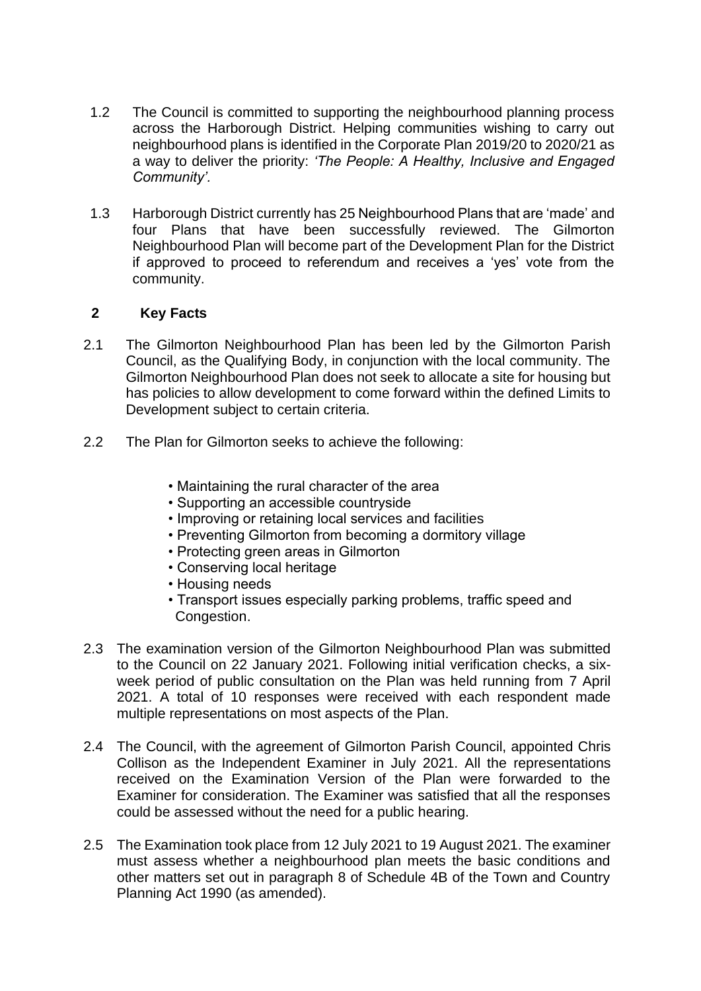- 1.2 The Council is committed to supporting the neighbourhood planning process across the Harborough District. Helping communities wishing to carry out neighbourhood plans is identified in the Corporate Plan 2019/20 to 2020/21 as a way to deliver the priority: *'The People: A Healthy, Inclusive and Engaged Community'.*
- 1.3 Harborough District currently has 25 Neighbourhood Plans that are 'made' and four Plans that have been successfully reviewed. The Gilmorton Neighbourhood Plan will become part of the Development Plan for the District if approved to proceed to referendum and receives a 'yes' vote from the community.

### **2 Key Facts**

- 2.1 The Gilmorton Neighbourhood Plan has been led by the Gilmorton Parish Council, as the Qualifying Body, in conjunction with the local community. The Gilmorton Neighbourhood Plan does not seek to allocate a site for housing but has policies to allow development to come forward within the defined Limits to Development subject to certain criteria.
- 2.2 The Plan for Gilmorton seeks to achieve the following:
	- Maintaining the rural character of the area
	- Supporting an accessible countryside
	- Improving or retaining local services and facilities
	- Preventing Gilmorton from becoming a dormitory village
	- Protecting green areas in Gilmorton
	- Conserving local heritage
	- Housing needs
	- Transport issues especially parking problems, traffic speed and Congestion.
- 2.3 The examination version of the Gilmorton Neighbourhood Plan was submitted to the Council on 22 January 2021. Following initial verification checks, a sixweek period of public consultation on the Plan was held running from 7 April 2021. A total of 10 responses were received with each respondent made multiple representations on most aspects of the Plan.
- 2.4 The Council, with the agreement of Gilmorton Parish Council, appointed Chris Collison as the Independent Examiner in July 2021. All the representations received on the Examination Version of the Plan were forwarded to the Examiner for consideration. The Examiner was satisfied that all the responses could be assessed without the need for a public hearing.
- 2.5 The Examination took place from 12 July 2021 to 19 August 2021. The examiner must assess whether a neighbourhood plan meets the basic conditions and other matters set out in paragraph 8 of Schedule 4B of the Town and Country Planning Act 1990 (as amended).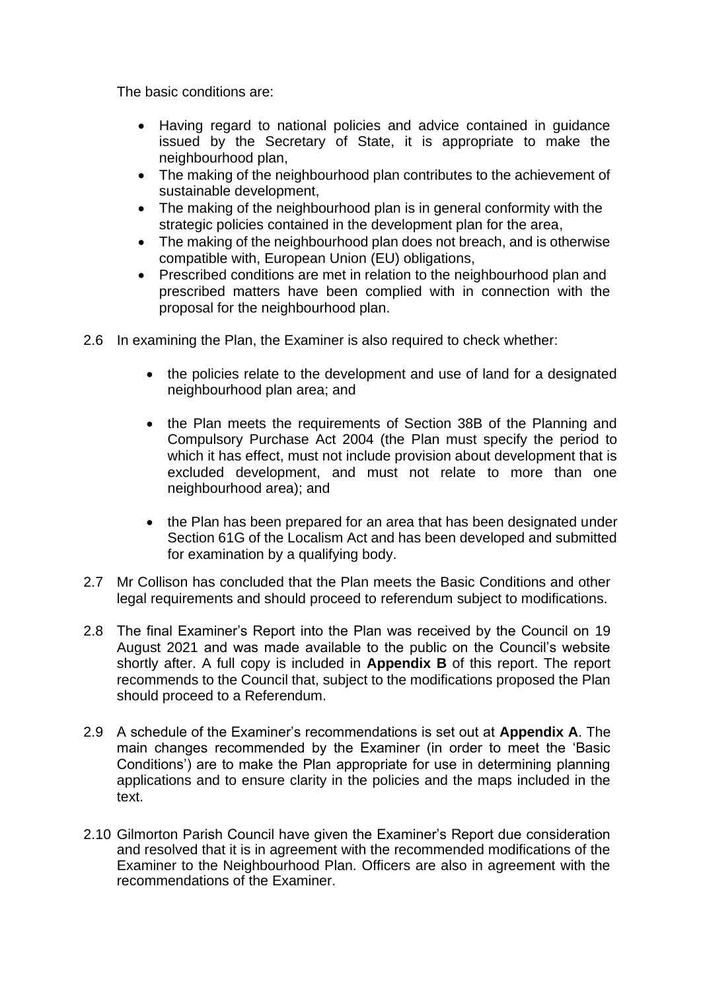The basic conditions are:

- Having regard to national policies and advice contained in guidance issued by the Secretary of State, it is appropriate to make the neighbourhood plan,
- The making of the neighbourhood plan contributes to the achievement of sustainable development,
- The making of the neighbourhood plan is in general conformity with the strategic policies contained in the development plan for the area,
- The making of the neighbourhood plan does not breach, and is otherwise compatible with, European Union (EU) obligations,
- Prescribed conditions are met in relation to the neighbourhood plan and prescribed matters have been complied with in connection with the proposal for the neighbourhood plan.
- 2.6 In examining the Plan, the Examiner is also required to check whether:
	- the policies relate to the development and use of land for a designated neighbourhood plan area; and
	- the Plan meets the requirements of Section 38B of the Planning and Compulsory Purchase Act 2004 (the Plan must specify the period to which it has effect, must not include provision about development that is excluded development, and must not relate to more than one neighbourhood area); and
	- the Plan has been prepared for an area that has been designated under Section 61G of the Localism Act and has been developed and submitted for examination by a qualifying body.
- 2.7 Mr Collison has concluded that the Plan meets the Basic Conditions and other legal requirements and should proceed to referendum subject to modifications.
- 2.8 The final Examiner's Report into the Plan was received by the Council on 19 August 2021 and was made available to the public on the Council's website shortly after. A full copy is included in **Appendix B** of this report. The report recommends to the Council that, subject to the modifications proposed the Plan should proceed to a Referendum.
- 2.9 A schedule of the Examiner's recommendations is set out at **Appendix A**. The main changes recommended by the Examiner (in order to meet the 'Basic Conditions') are to make the Plan appropriate for use in determining planning applications and to ensure clarity in the policies and the maps included in the text.
- 2.10 Gilmorton Parish Council have given the Examiner's Report due consideration and resolved that it is in agreement with the recommended modifications of the Examiner to the Neighbourhood Plan. Officers are also in agreement with the recommendations of the Examiner.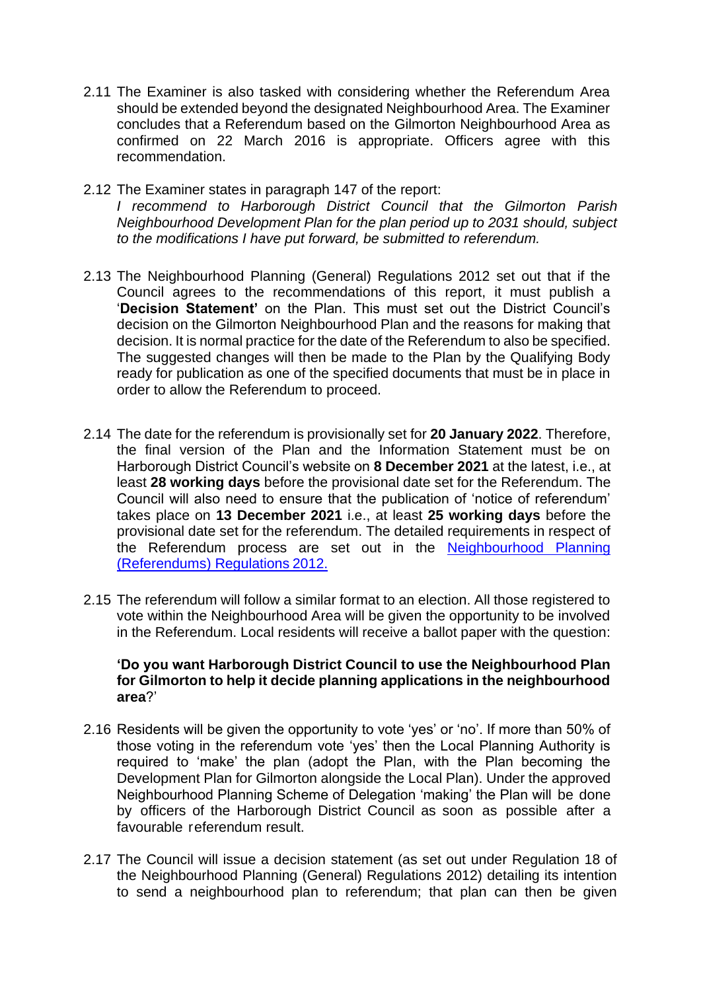- 2.11 The Examiner is also tasked with considering whether the Referendum Area should be extended beyond the designated Neighbourhood Area. The Examiner concludes that a Referendum based on the Gilmorton Neighbourhood Area as confirmed on 22 March 2016 is appropriate. Officers agree with this recommendation.
- 2.12 The Examiner states in paragraph 147 of the report:

*I recommend to Harborough District Council that the Gilmorton Parish Neighbourhood Development Plan for the plan period up to 2031 should, subject to the modifications I have put forward, be submitted to referendum.*

- 2.13 The Neighbourhood Planning (General) Regulations 2012 set out that if the Council agrees to the recommendations of this report, it must publish a '**Decision Statement'** on the Plan. This must set out the District Council's decision on the Gilmorton Neighbourhood Plan and the reasons for making that decision. It is normal practice for the date of the Referendum to also be specified. The suggested changes will then be made to the Plan by the Qualifying Body ready for publication as one of the specified documents that must be in place in order to allow the Referendum to proceed.
- 2.14 The date for the referendum is provisionally set for **20 January 2022**. Therefore, the final version of the Plan and the Information Statement must be on Harborough District Council's website on **8 December 2021** at the latest, i.e., at least **28 working days** before the provisional date set for the Referendum. The Council will also need to ensure that the publication of 'notice of referendum' takes place on **13 December 2021** i.e., at least **25 working days** before the provisional date set for the referendum. The detailed requirements in respect of the Referendum process are set out in the [Neighbourhood Planning](http://www.legislation.gov.uk/uksi/2012/637/contents/made)  [\(Referendums\) Regulations](http://www.legislation.gov.uk/uksi/2012/637/contents/made) 2012.
- 2.15 The referendum will follow a similar format to an election. All those registered to vote within the Neighbourhood Area will be given the opportunity to be involved in the Referendum. Local residents will receive a ballot paper with the question:

#### **'Do you want Harborough District Council to use the Neighbourhood Plan for Gilmorton to help it decide planning applications in the neighbourhood area**?'

- 2.16 Residents will be given the opportunity to vote 'yes' or 'no'. If more than 50% of those voting in the referendum vote 'yes' then the Local Planning Authority is required to 'make' the plan (adopt the Plan, with the Plan becoming the Development Plan for Gilmorton alongside the Local Plan). Under the approved Neighbourhood Planning Scheme of Delegation 'making' the Plan will be done by officers of the Harborough District Council as soon as possible after a favourable referendum result.
- 2.17 The Council will issue a decision statement (as set out under Regulation 18 of the Neighbourhood Planning (General) Regulations 2012) detailing its intention to send a neighbourhood plan to referendum; that plan can then be given